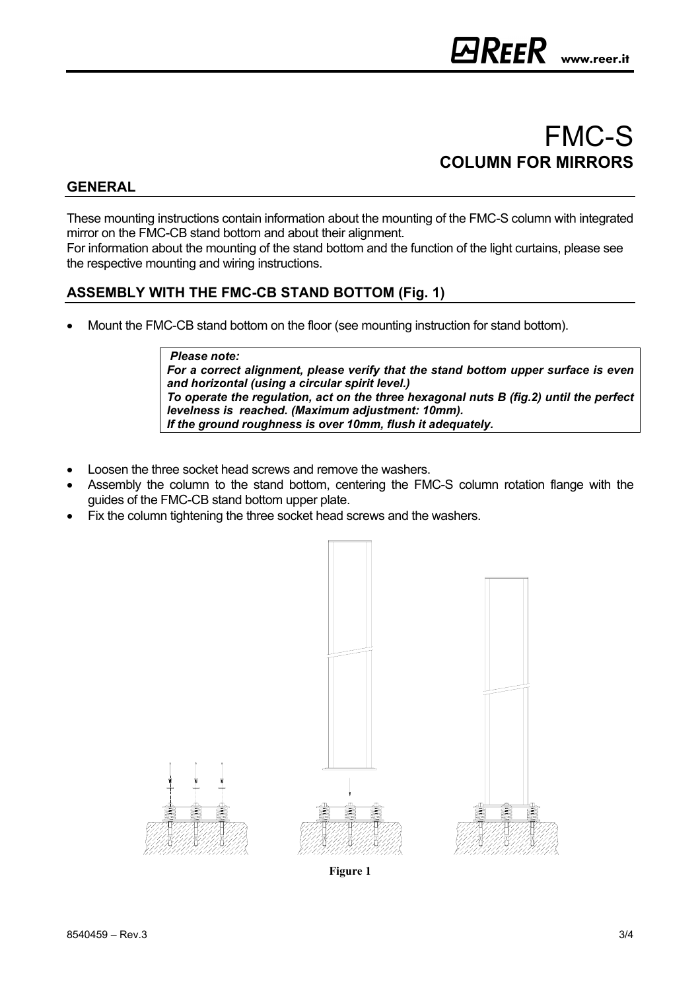# FMC-S **COLUMN FOR MIRRORS**

## **GENERAL**

These mounting instructions contain information about the mounting of the FMC-S column with integrated mirror on the FMC-CB stand bottom and about their alignment.

For information about the mounting of the stand bottom and the function of the light curtains, please see the respective mounting and wiring instructions.

### **ASSEMBLY WITH THE FMC-CB STAND BOTTOM (Fig. 1)**

• Mount the FMC-CB stand bottom on the floor (see mounting instruction for stand bottom).

#### *Please note:*

*For a correct alignment, please verify that the stand bottom upper surface is even and horizontal (using a circular spirit level.) To operate the regulation, act on the three hexagonal nuts B (fig.2) until the perfect levelness is reached. (Maximum adjustment: 10mm). If the ground roughness is over 10mm, flush it adequately.* 

- Loosen the three socket head screws and remove the washers.
- Assembly the column to the stand bottom, centering the FMC-S column rotation flange with the guides of the FMC-CB stand bottom upper plate.
- Fix the column tightening the three socket head screws and the washers.



**Figure 1**